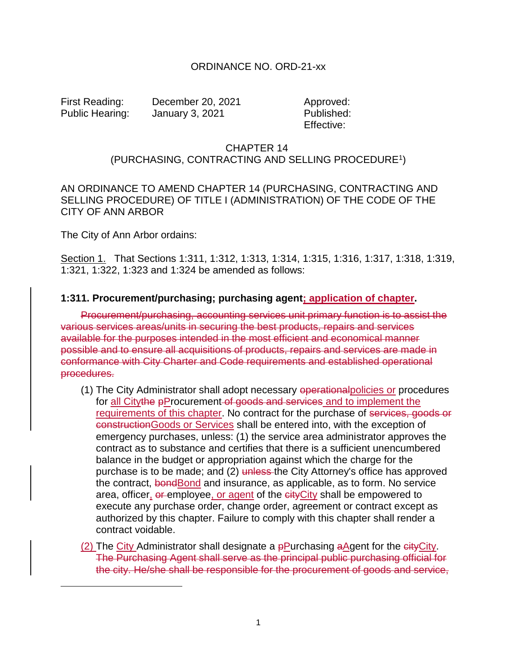#### ORDINANCE NO. ORD-21-xx

 $\overline{a}$ 

First Reading: December 20, 2021 Approved: Public Hearing: January 3, 2021 Published:

Effective:

### CHAPTER 14 (PURCHASING, CONTRACTING AND SELLING PROCEDURE<sup>1</sup>)

AN ORDINANCE TO AMEND CHAPTER 14 (PURCHASING, CONTRACTING AND SELLING PROCEDURE) OF TITLE I (ADMINISTRATION) OF THE CODE OF THE CITY OF ANN ARBOR

The City of Ann Arbor ordains:

Section 1. That Sections 1:311, 1:312, 1:313, 1:314, 1:315, 1:316, 1:317, 1:318, 1:319, 1:321, 1:322, 1:323 and 1:324 be amended as follows:

#### **1:311. Procurement/purchasing; purchasing agent; application of chapter.**

Procurement/purchasing, accounting services unit primary function is to assist the various services areas/units in securing the best products, repairs and services available for the purposes intended in the most efficient and economical manner possible and to ensure all acquisitions of products, repairs and services are made in conformance with City Charter and Code requirements and established operational procedures.

- (1) The City Administrator shall adopt necessary operationalpolicies or procedures for all Citythe pProcurement of goods and services and to implement the requirements of this chapter. No contract for the purchase of services, goods or constructionGoods or Services shall be entered into, with the exception of emergency purchases, unless: (1) the service area administrator approves the contract as to substance and certifies that there is a sufficient unencumbered balance in the budget or appropriation against which the charge for the purchase is to be made; and (2) unless the City Attorney's office has approved the contract, bondBond and insurance, as applicable, as to form. No service area, officer, or employee, or agent of the cityCity shall be empowered to execute any purchase order, change order, agreement or contract except as authorized by this chapter. Failure to comply with this chapter shall render a contract voidable.
- (2) The City Administrator shall designate a  $\frac{P}{P}$ urchasing aAgent for the  $\frac{C}{P}$ ity. The Purchasing Agent shall serve as the principal public purchasing official for the city. He/she shall be responsible for the procurement of goods and service,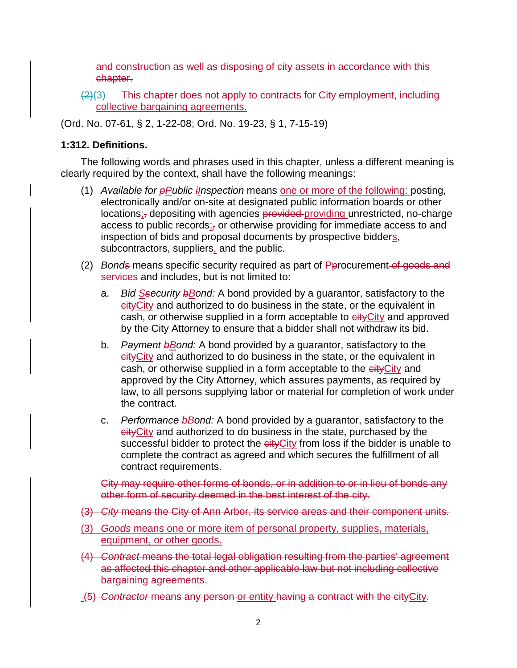and construction as well as disposing of city assets in accordance with this chapter.

 $\left( \frac{2}{3} \right)$  This chapter does not apply to contracts for City employment, including collective bargaining agreements.

(Ord. No. 07-61, § 2, 1-22-08; Ord. No. 19-23, § 1, 7-15-19)

### **1:312. Definitions.**

The following words and phrases used in this chapter, unless a different meaning is clearly required by the context, shall have the following meanings:

- (1) *Available for pPublic iInspection* means one or more of the following: posting, electronically and/or on-site at designated public information boards or other locations<sub>i</sub>, depositing with agencies provided providing unrestricted, no-charge access to public records;<sub>i</sub> or otherwise providing for immediate access to and inspection of bids and proposal documents by prospective bidders, subcontractors, suppliers, and the public.
- (2) *Bonds* means specific security required as part of Pprocurement of goods and services and includes, but is not limited to:
	- a. *Bid Ssecurity bBond:* A bond provided by a guarantor, satisfactory to the eity City and authorized to do business in the state, or the equivalent in cash, or otherwise supplied in a form acceptable to eityCity and approved by the City Attorney to ensure that a bidder shall not withdraw its bid.
	- b. *Payment b*Bond: A bond provided by a guarantor, satisfactory to the eity City and authorized to do business in the state, or the equivalent in cash, or otherwise supplied in a form acceptable to the cityCity and approved by the City Attorney, which assures payments, as required by law, to all persons supplying labor or material for completion of work under the contract.
	- c. *Performance bBond:* A bond provided by a guarantor, satisfactory to the cityCity and authorized to do business in the state, purchased by the successful bidder to protect the eityCity from loss if the bidder is unable to complete the contract as agreed and which secures the fulfillment of all contract requirements.

City may require other forms of bonds, or in addition to or in lieu of bonds any other form of security deemed in the best interest of the city.

- (3) *City* means the City of Ann Arbor, its service areas and their component units.
- (3) *Goods* means one or more item of personal property, supplies, materials, equipment, or other goods.
- (4) *Contract* means the total legal obligation resulting from the parties' agreement as affected this chapter and other applicable law but not including collective bargaining agreements.
- (5) *Contractor* means any person or entity having a contract with the cityCity.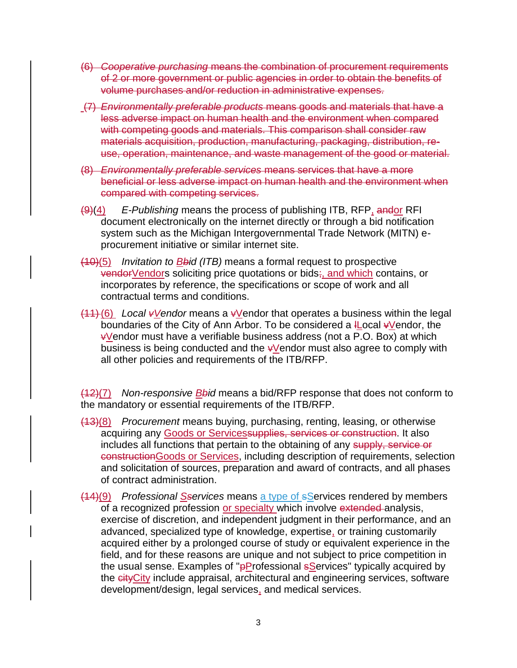- (6) *Cooperative purchasing* means the combination of procurement requirements of 2 or more government or public agencies in order to obtain the benefits of volume purchases and/or reduction in administrative expenses.
- (7) *Environmentally preferable products* means goods and materials that have a less adverse impact on human health and the environment when compared with competing goods and materials. This comparison shall consider raw materials acquisition, production, manufacturing, packaging, distribution, reuse, operation, maintenance, and waste management of the good or material.
- (8) *Environmentally preferable services* means services that have a more beneficial or less adverse impact on human health and the environment when compared with competing services.
- (9)(4) *E-Publishing* means the process of publishing ITB, RFP, andor RFI document electronically on the internet directly or through a bid notification system such as the Michigan Intergovernmental Trade Network (MITN) eprocurement initiative or similar internet site.
- (10)(5) *Invitation to Bbid (ITB)* means a formal request to prospective vendorVendors soliciting price quotations or bids;, and which contains, or incorporates by reference, the specifications or scope of work and all contractual terms and conditions.
- (11) (6) *Local vVendor* means a vVendor that operates a business within the legal boundaries of the City of Ann Arbor. To be considered a *ILocal vVendor*, the  $vV$ endor must have a verifiable business address (not a P.O. Box) at which business is being conducted and the  $\frac{1}{2}$  vendor must also agree to comply with all other policies and requirements of the ITB/RFP.

(12)(7) *Non-responsive Bbid* means a bid/RFP response that does not conform to the mandatory or essential requirements of the ITB/RFP.

- (13)(8) *Procurement* means buying, purchasing, renting, leasing, or otherwise acquiring any Goods or Servicessupplies, services or construction. It also includes all functions that pertain to the obtaining of any supply, service or constructionGoods or Services, including description of requirements, selection and solicitation of sources, preparation and award of contracts, and all phases of contract administration.
- (14)(9) *Professional Sservices* means a type of sServices rendered by members of a recognized profession or specialty which involve extended analysis, exercise of discretion, and independent judgment in their performance, and an advanced, specialized type of knowledge, expertise, or training customarily acquired either by a prolonged course of study or equivalent experience in the field, and for these reasons are unique and not subject to price competition in the usual sense. Examples of "pProfessional sServices" typically acquired by the cityCity include appraisal, architectural and engineering services, software development/design, legal services, and medical services.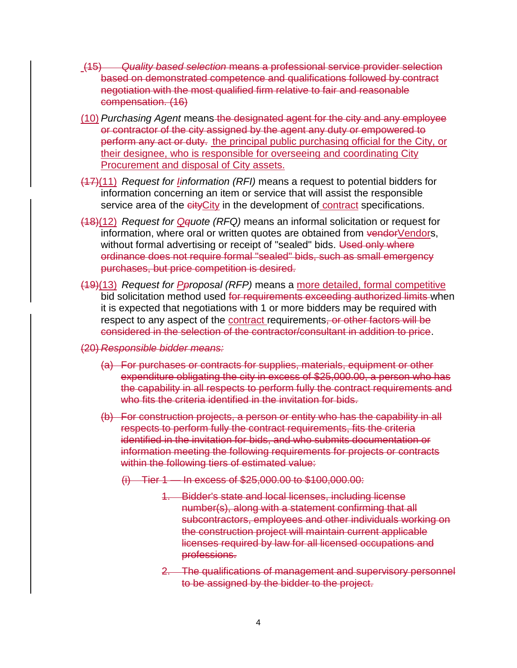- (15) *Quality based selection* means a professional service provider selection based on demonstrated competence and qualifications followed by contract negotiation with the most qualified firm relative to fair and reasonable compensation. (16)
- (10) *Purchasing Agent* means the designated agent for the city and any employee or contractor of the city assigned by the agent any duty or empowered to perform any act or duty. the principal public purchasing official for the City, or their designee, who is responsible for overseeing and coordinating City Procurement and disposal of City assets.
- (17)(11) *Request for Iinformation (RFI)* means a request to potential bidders for information concerning an item or service that will assist the responsible service area of the eityCity in the development of contract specifications.
- (18)(12) *Request for Qquote (RFQ)* means an informal solicitation or request for information, where oral or written quotes are obtained from vendorVendors, without formal advertising or receipt of "sealed" bids. Used only where ordinance does not require formal "sealed" bids, such as small emergency purchases, but price competition is desired.
- (19)(13) *Request for Pproposal (RFP)* means a more detailed, formal competitive bid solicitation method used for requirements exceeding authorized limits when it is expected that negotiations with 1 or more bidders may be required with respect to any aspect of the contract requirements, or other factors will be considered in the selection of the contractor/consultant in addition to price.
- (20) *Responsible bidder means:*
	- (a) For purchases or contracts for supplies, materials, equipment or other expenditure obligating the city in excess of \$25,000.00, a person who has the capability in all respects to perform fully the contract requirements and who fits the criteria identified in the invitation for bids.
	- (b) For construction projects, a person or entity who has the capability in all respects to perform fully the contract requirements, fits the criteria identified in the invitation for bids, and who submits documentation or information meeting the following requirements for projects or contracts within the following tiers of estimated value:
		- (i) Tier 1 In excess of \$25,000.00 to \$100,000.00:
			- 1. Bidder's state and local licenses, including license number(s), along with a statement confirming that all subcontractors, employees and other individuals working on the construction project will maintain current applicable licenses required by law for all licensed occupations and professions.
			- 2. The qualifications of management and supervisory personnel to be assigned by the bidder to the project.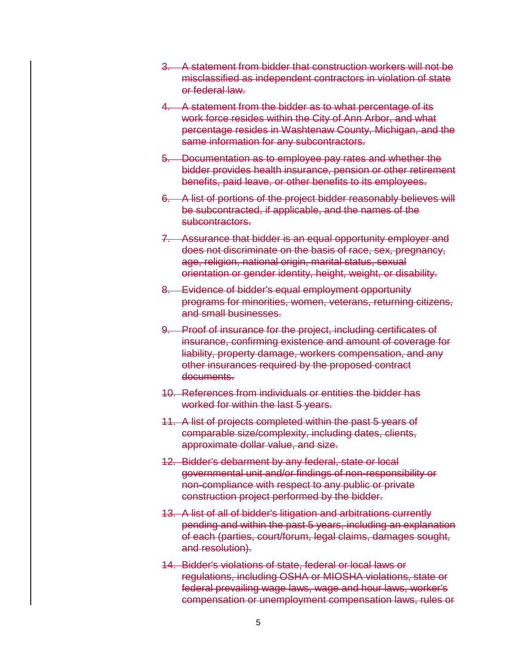- 3. A statement from bidder that construction workers will not be misclassified as independent contractors in violation of state or federal law.
- 4. A statement from the bidder as to what percentage of its work force resides within the City of Ann Arbor, and what percentage resides in Washtenaw County, Michigan, and the same information for any subcontractors.
- 5. Documentation as to employee pay rates and whether the bidder provides health insurance, pension or other retirement benefits, paid leave, or other benefits to its employees.
- 6. A list of portions of the project bidder reasonably believes will be subcontracted, if applicable, and the names of the subcontractors.
- 7. Assurance that bidder is an equal opportunity employer and does not discriminate on the basis of race, sex, pregnancy, age, religion, national origin, marital status, sexual orientation or gender identity, height, weight, or disability.
- 8. Evidence of bidder's equal employment opportunity programs for minorities, women, veterans, returning citizens, and small businesses.
- 9. Proof of insurance for the project, including certificates of insurance, confirming existence and amount of coverage for liability, property damage, workers compensation, and any other insurances required by the proposed contract documents.
- 10. References from individuals or entities the bidder has worked for within the last 5 years.
- 11. A list of projects completed within the past 5 years of comparable size/complexity, including dates, clients, approximate dollar value, and size.
- 12. Bidder's debarment by any federal, state or local governmental unit and/or findings of non-responsibility or non-compliance with respect to any public or private construction project performed by the bidder.
- 13. A list of all of bidder's litigation and arbitrations currently pending and within the past 5 years, including an explanation of each (parties, court/forum, legal claims, damages sought, and resolution).
- 14. Bidder's violations of state, federal or local laws or regulations, including OSHA or MIOSHA violations, state or federal prevailing wage laws, wage and hour laws, worker's compensation or unemployment compensation laws, rules or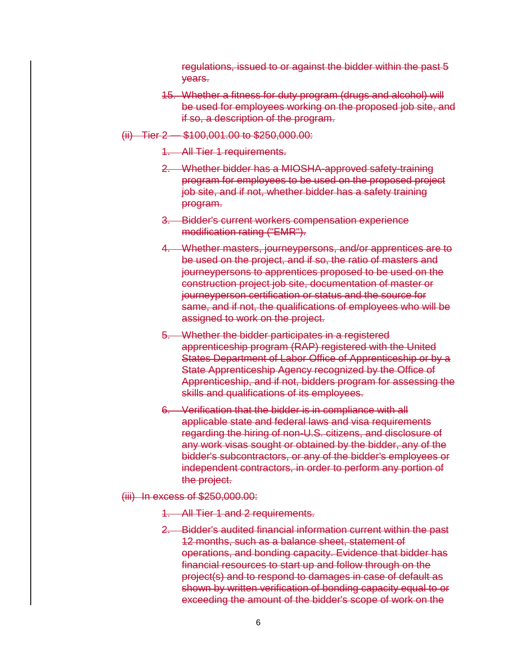regulations, issued to or against the bidder within the past 5 years.

- 15. Whether a fitness for duty program (drugs and alcohol) will be used for employees working on the proposed job site, and if so, a description of the program.
- (ii) Tier 2 \$100,001.00 to \$250,000.00:
	- 1. All Tier 1 requirements.
	- 2. Whether bidder has a MIOSHA-approved safety-training program for employees to be used on the proposed project job site, and if not, whether bidder has a safety training program.
	- 3. Bidder's current workers compensation experience modification rating ("EMR").
	- 4. Whether masters, journeypersons, and/or apprentices are to be used on the project, and if so, the ratio of masters and journeypersons to apprentices proposed to be used on the construction project job site, documentation of master or journeyperson certification or status and the source for same, and if not, the qualifications of employees who will be assigned to work on the project.
	- 5. Whether the bidder participates in a registered apprenticeship program (RAP) registered with the United States Department of Labor Office of Apprenticeship or by a State Apprenticeship Agency recognized by the Office of Apprenticeship, and if not, bidders program for assessing the skills and qualifications of its employees.
	- 6. Verification that the bidder is in compliance with all applicable state and federal laws and visa requirements regarding the hiring of non-U.S. citizens, and disclosure of any work visas sought or obtained by the bidder, any of the bidder's subcontractors, or any of the bidder's employees or independent contractors, in order to perform any portion of the project.
- (iii) In excess of \$250,000.00:
	- 1. All Tier 1 and 2 requirements.
	- 2. Bidder's audited financial information current within the past 12 months, such as a balance sheet, statement of operations, and bonding capacity. Evidence that bidder has financial resources to start up and follow through on the project(s) and to respond to damages in case of default as shown by written verification of bonding capacity equal to or exceeding the amount of the bidder's scope of work on the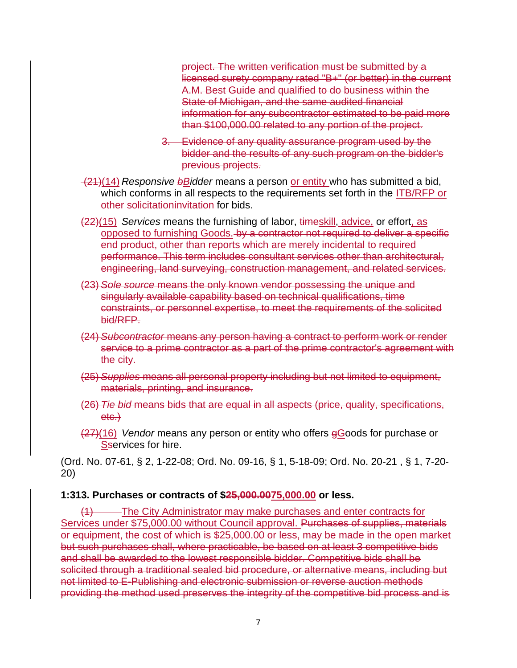project. The written verification must be submitted by a licensed surety company rated "B+" (or better) in the current A.M. Best Guide and qualified to do business within the State of Michigan, and the same audited financial information for any subcontractor estimated to be paid more than \$100,000.00 related to any portion of the project.

- 3. Evidence of any quality assurance program used by the bidder and the results of any such program on the bidder's previous projects.
- (21)(14) *Responsive bBidder* means a person or entity who has submitted a bid, which conforms in all respects to the requirements set forth in the **ITB/RFP** or other solicitationinvitation for bids.
- (22)(15) *Services* means the furnishing of labor, timeskill, advice, or effort, as opposed to furnishing Goods. by a contractor not required to deliver a specific end product, other than reports which are merely incidental to required performance. This term includes consultant services other than architectural, engineering, land surveying, construction management, and related services.
- (23) *Sole source* means the only known vendor possessing the unique and singularly available capability based on technical qualifications, time constraints, or personnel expertise, to meet the requirements of the solicited bid/RFP.
- (24) *Subcontractor* means any person having a contract to perform work or render service to a prime contractor as a part of the prime contractor's agreement with the city.
- (25) *Supplies* means all personal property including but not limited to equipment, materials, printing, and insurance.
- (26) *Tie bid* means bids that are equal in all aspects (price, quality, specifications, etc.)
- (27)(16) *Vendor* means any person or entity who offers gGoods for purchase or Sservices for hire.

(Ord. No. 07-61, § 2, 1-22-08; Ord. No. 09-16, § 1, 5-18-09; Ord. No. 20-21 , § 1, 7-20- 20)

### **1:313. Purchases or contracts of \$25,000.0075,000.00 or less.**

-The City Administrator may make purchases and enter contracts for Services under \$75,000.00 without Council approval. Purchases of supplies, materials or equipment, the cost of which is \$25,000.00 or less, may be made in the open market but such purchases shall, where practicable, be based on at least 3 competitive bids and shall be awarded to the lowest responsible bidder. Competitive bids shall be solicited through a traditional sealed bid procedure, or alternative means, including but not limited to E-Publishing and electronic submission or reverse auction methods providing the method used preserves the integrity of the competitive bid process and is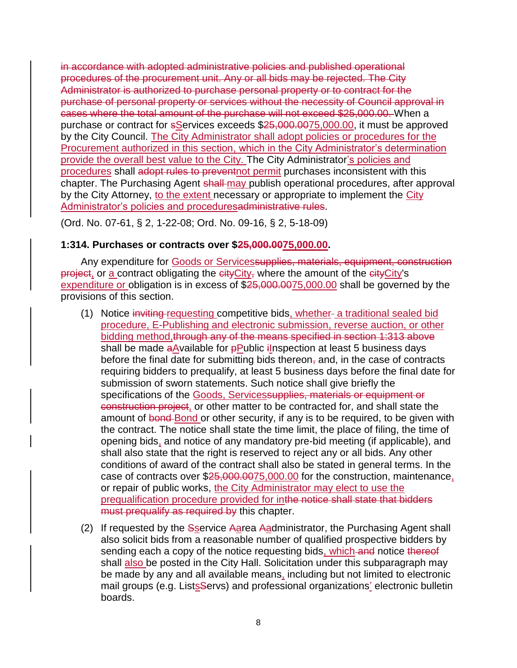in accordance with adopted administrative policies and published operational procedures of the procurement unit. Any or all bids may be rejected. The City Administrator is authorized to purchase personal property or to contract for the purchase of personal property or services without the necessity of Council approval in cases where the total amount of the purchase will not exceed \$25,000.00. When a purchase or contract for sServices exceeds \$25,000.0075,000.00, it must be approved by the City Council. The City Administrator shall adopt policies or procedures for the Procurement authorized in this section, which in the City Administrator's determination provide the overall best value to the City. The City Administrator's policies and procedures shall adopt rules to preventnot permit purchases inconsistent with this chapter. The Purchasing Agent shall-may publish operational procedures, after approval by the City Attorney, to the extent necessary or appropriate to implement the City Administrator's policies and proceduresadministrative rules.

(Ord. No. 07-61, § 2, 1-22-08; Ord. No. 09-16, § 2, 5-18-09)

### **1:314. Purchases or contracts over \$25,000.0075,000.00.**

Any expenditure for Goods or Servicessupplies, materials, equipment, construction  $\overline{project_1}$  or a contract obligating the  $\overline{city}$  where the amount of the  $\overline{city}$ 's expenditure or obligation is in excess of \$25,000.0075,000.00 shall be governed by the provisions of this section.

- (1) Notice inviting requesting competitive bids, whether- a traditional sealed bid procedure, E-Publishing and electronic submission, reverse auction, or other bidding method, through any of the means specified in section 1:313 above shall be made aAvailable for pPublic ilnspection at least 5 business days before the final date for submitting bids thereon, and, in the case of contracts requiring bidders to prequalify, at least 5 business days before the final date for submission of sworn statements. Such notice shall give briefly the specifications of the Goods, Servicessupplies, materials or equipment or construction project, or other matter to be contracted for, and shall state the amount of bond Bond or other security, if any is to be required, to be given with the contract. The notice shall state the time limit, the place of filing, the time of opening bids, and notice of any mandatory pre-bid meeting (if applicable), and shall also state that the right is reserved to reject any or all bids. Any other conditions of award of the contract shall also be stated in general terms. In the case of contracts over \$25,000.0075,000.00 for the construction, maintenance, or repair of public works, the City Administrator may elect to use the prequalification procedure provided for inthe notice shall state that bidders must prequalify as required by this chapter.
- (2) If requested by the Sservice Aarea Aadministrator, the Purchasing Agent shall also solicit bids from a reasonable number of qualified prospective bidders by sending each a copy of the notice requesting bids, which and notice thereof shall also be posted in the City Hall. Solicitation under this subparagraph may be made by any and all available means, including but not limited to electronic mail groups (e.g. Lists Servs) and professional organizations' electronic bulletin boards.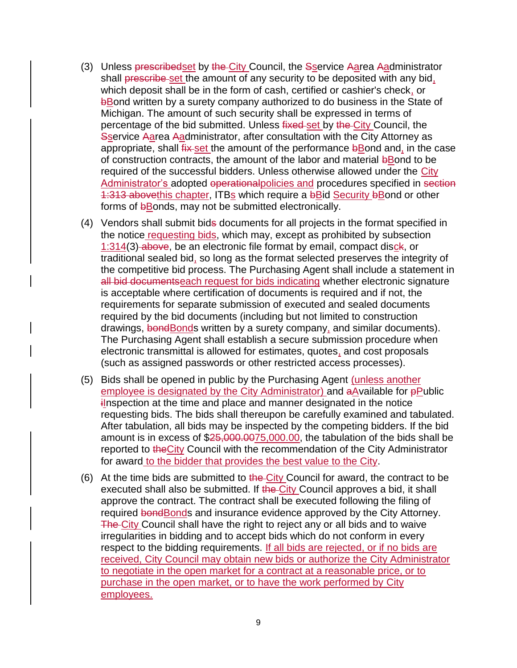- (3) Unless prescribedset by the City Council, the Sservice Aarea Aadministrator shall prescribe set the amount of any security to be deposited with any bid, which deposit shall be in the form of cash, certified or cashier's check, or bBond written by a surety company authorized to do business in the State of Michigan. The amount of such security shall be expressed in terms of percentage of the bid submitted. Unless fixed set by the City Council, the Sservice Aarea Aadministrator, after consultation with the City Attorney as appropriate, shall fix set the amount of the performance bBond and, in the case of construction contracts, the amount of the labor and material bBond to be required of the successful bidders. Unless otherwise allowed under the City Administrator's adopted operational policies and procedures specified in section 1:313 abovethis chapter, ITBs which require a bBid Security bBond or other forms of bBonds, may not be submitted electronically.
- (4) Vendors shall submit bids documents for all projects in the format specified in the notice requesting bids, which may, except as prohibited by subsection 1:314(3) above, be an electronic file format by email, compact disck, or traditional sealed bid, so long as the format selected preserves the integrity of the competitive bid process. The Purchasing Agent shall include a statement in all bid documentseach request for bids indicating whether electronic signature is acceptable where certification of documents is required and if not, the requirements for separate submission of executed and sealed documents required by the bid documents (including but not limited to construction drawings, bond Bonds written by a surety company, and similar documents). The Purchasing Agent shall establish a secure submission procedure when electronic transmittal is allowed for estimates, quotes, and cost proposals (such as assigned passwords or other restricted access processes).
- (5) Bids shall be opened in public by the Purchasing Agent (unless another employee is designated by the City Administrator) and aAvailable for **pPublic** inspection at the time and place and manner designated in the notice requesting bids. The bids shall thereupon be carefully examined and tabulated. After tabulation, all bids may be inspected by the competing bidders. If the bid amount is in excess of \$25,000.0075,000.00, the tabulation of the bids shall be reported to the City Council with the recommendation of the City Administrator for award to the bidder that provides the best value to the City.
- (6) At the time bids are submitted to the City Council for award, the contract to be executed shall also be submitted. If the City Council approves a bid, it shall approve the contract. The contract shall be executed following the filing of required bond Bonds and insurance evidence approved by the City Attorney. The City Council shall have the right to reject any or all bids and to waive irregularities in bidding and to accept bids which do not conform in every respect to the bidding requirements. If all bids are rejected, or if no bids are received, City Council may obtain new bids or authorize the City Administrator to negotiate in the open market for a contract at a reasonable price, or to purchase in the open market, or to have the work performed by City employees.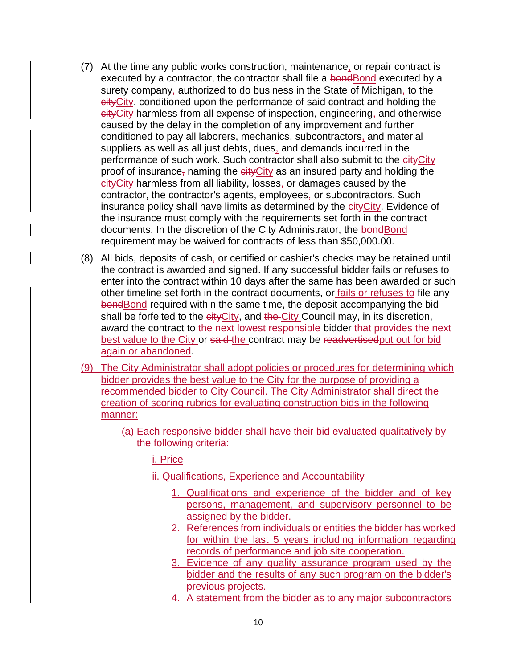- (7) At the time any public works construction, maintenance, or repair contract is executed by a contractor, the contractor shall file a bondBond executed by a surety company, authorized to do business in the State of Michigan, to the cityCity, conditioned upon the performance of said contract and holding the cityCity harmless from all expense of inspection, engineering, and otherwise caused by the delay in the completion of any improvement and further conditioned to pay all laborers, mechanics, subcontractors, and material suppliers as well as all just debts, dues, and demands incurred in the performance of such work. Such contractor shall also submit to the eityCity proof of insurance, naming the  $\frac{e}{f}$  as an insured party and holding the cityCity harmless from all liability, losses, or damages caused by the contractor, the contractor's agents, employees, or subcontractors. Such insurance policy shall have limits as determined by the eityCity. Evidence of the insurance must comply with the requirements set forth in the contract documents. In the discretion of the City Administrator, the bondBond requirement may be waived for contracts of less than \$50,000.00.
- $(8)$  All bids, deposits of cash, or certified or cashier's checks may be retained until the contract is awarded and signed. If any successful bidder fails or refuses to enter into the contract within 10 days after the same has been awarded or such other timeline set forth in the contract documents, or fails or refuses to file any bond **Bond** required within the same time, the deposit accompanying the bid shall be forfeited to the eityCity, and the City Council may, in its discretion, award the contract to the next lowest responsible bidder that provides the next best value to the City or said-the contract may be readvertised put out for bid again or abandoned.
- (9) The City Administrator shall adopt policies or procedures for determining which bidder provides the best value to the City for the purpose of providing a recommended bidder to City Council. The City Administrator shall direct the creation of scoring rubrics for evaluating construction bids in the following manner:
	- (a) Each responsive bidder shall have their bid evaluated qualitatively by the following criteria:

i. Price

- ii. Qualifications, Experience and Accountability
	- 1. Qualifications and experience of the bidder and of key persons, management, and supervisory personnel to be assigned by the bidder.
	- 2. References from individuals or entities the bidder has worked for within the last 5 years including information regarding records of performance and job site cooperation.
	- 3. Evidence of any quality assurance program used by the bidder and the results of any such program on the bidder's previous projects.
	- 4. A statement from the bidder as to any major subcontractors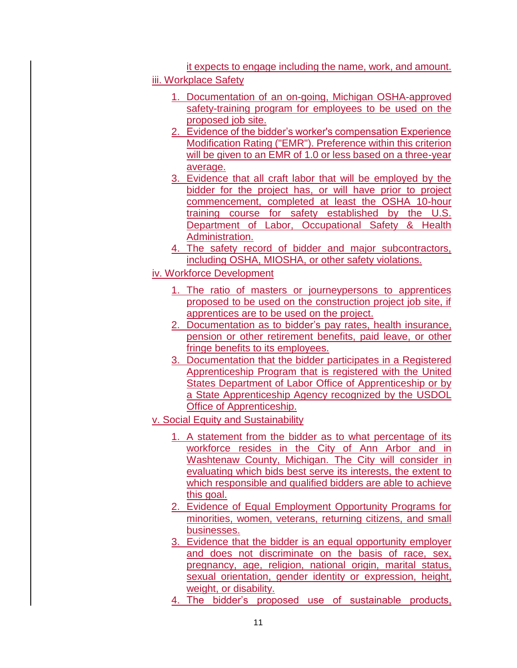it expects to engage including the name, work, and amount. iii. Workplace Safety

- 1. Documentation of an on-going, Michigan OSHA-approved safety-training program for employees to be used on the proposed job site.
- 2. Evidence of the bidder's worker's compensation Experience Modification Rating ("EMR"). Preference within this criterion will be given to an EMR of 1.0 or less based on a three-year average.
- 3. Evidence that all craft labor that will be employed by the bidder for the project has, or will have prior to project commencement, completed at least the OSHA 10-hour training course for safety established by the U.S. Department of Labor, Occupational Safety & Health Administration.
- 4. The safety record of bidder and major subcontractors, including OSHA, MIOSHA, or other safety violations.
- iv. Workforce Development
	- 1. The ratio of masters or journeypersons to apprentices proposed to be used on the construction project job site, if apprentices are to be used on the project.
	- 2. Documentation as to bidder's pay rates, health insurance, pension or other retirement benefits, paid leave, or other fringe benefits to its employees.
	- 3. Documentation that the bidder participates in a Registered Apprenticeship Program that is registered with the United States Department of Labor Office of Apprenticeship or by a State Apprenticeship Agency recognized by the USDOL Office of Apprenticeship.
- v. Social Equity and Sustainability
	- 1. A statement from the bidder as to what percentage of its workforce resides in the City of Ann Arbor and in Washtenaw County, Michigan. The City will consider in evaluating which bids best serve its interests, the extent to which responsible and qualified bidders are able to achieve this goal.
	- 2. Evidence of Equal Employment Opportunity Programs for minorities, women, veterans, returning citizens, and small businesses.
	- 3. Evidence that the bidder is an equal opportunity employer and does not discriminate on the basis of race, sex, pregnancy, age, religion, national origin, marital status, sexual orientation, gender identity or expression, height, weight, or disability.
	- 4. The bidder's proposed use of sustainable products,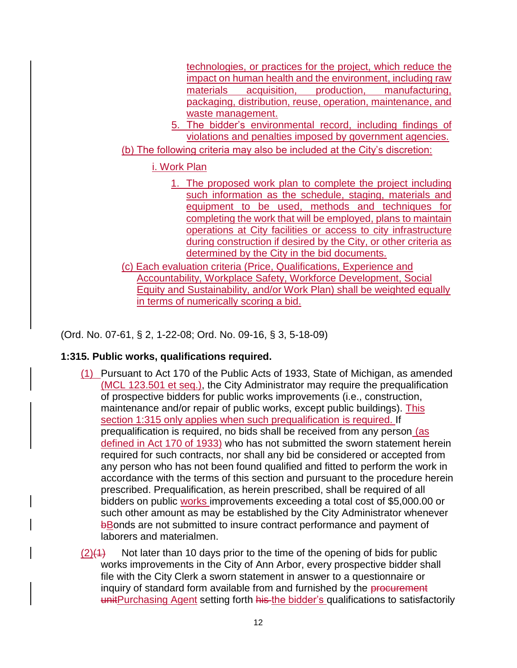technologies, or practices for the project, which reduce the impact on human health and the environment, including raw materials acquisition, production, manufacturing, packaging, distribution, reuse, operation, maintenance, and waste management.

5. The bidder's environmental record, including findings of violations and penalties imposed by government agencies.

(b) The following criteria may also be included at the City's discretion:

# i. Work Plan

- 1. The proposed work plan to complete the project including such information as the schedule, staging, materials and equipment to be used, methods and techniques for completing the work that will be employed, plans to maintain operations at City facilities or access to city infrastructure during construction if desired by the City, or other criteria as determined by the City in the bid documents.
- (c) Each evaluation criteria (Price, Qualifications, Experience and Accountability, Workplace Safety, Workforce Development, Social Equity and Sustainability, and/or Work Plan) shall be weighted equally in terms of numerically scoring a bid.

(Ord. No. 07-61, § 2, 1-22-08; Ord. No. 09-16, § 3, 5-18-09)

# **1:315. Public works, qualifications required.**

- (1) Pursuant to Act 170 of the Public Acts of 1933, State of Michigan, as amended (MCL 123.501 et seq.), the City Administrator may require the prequalification of prospective bidders for public works improvements (i.e., construction, maintenance and/or repair of public works, except public buildings). This section 1:315 only applies when such prequalification is required. If prequalification is required, no bids shall be received from any person (as defined in Act 170 of 1933) who has not submitted the sworn statement herein required for such contracts, nor shall any bid be considered or accepted from any person who has not been found qualified and fitted to perform the work in accordance with the terms of this section and pursuant to the procedure herein prescribed. Prequalification, as herein prescribed, shall be required of all bidders on public works improvements exceeding a total cost of \$5,000.00 or such other amount as may be established by the City Administrator whenever bBonds are not submitted to insure contract performance and payment of laborers and materialmen.
- $(2)(4)$  Not later than 10 days prior to the time of the opening of bids for public works improvements in the City of Ann Arbor, every prospective bidder shall file with the City Clerk a sworn statement in answer to a questionnaire or inquiry of standard form available from and furnished by the procurement unitPurchasing Agent setting forth his the bidder's qualifications to satisfactorily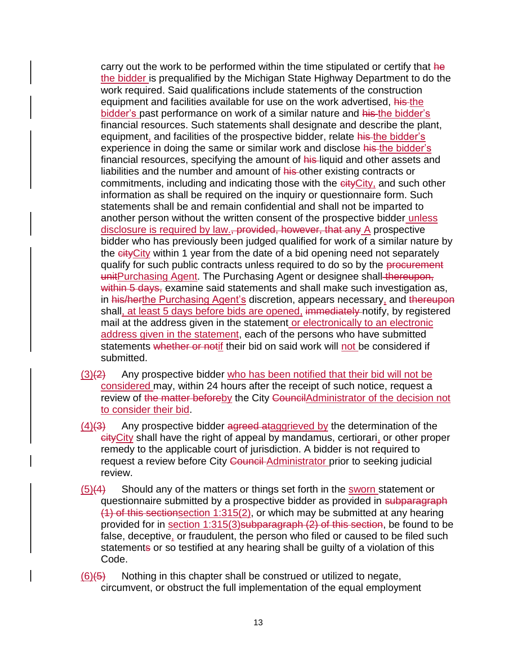carry out the work to be performed within the time stipulated or certify that he the bidder is prequalified by the Michigan State Highway Department to do the work required. Said qualifications include statements of the construction equipment and facilities available for use on the work advertised, his the bidder's past performance on work of a similar nature and his the bidder's financial resources. Such statements shall designate and describe the plant, equipment, and facilities of the prospective bidder, relate his the bidder's experience in doing the same or similar work and disclose his the bidder's financial resources, specifying the amount of his-liquid and other assets and liabilities and the number and amount of his other existing contracts or commitments, including and indicating those with the eity City, and such other information as shall be required on the inquiry or questionnaire form. Such statements shall be and remain confidential and shall not be imparted to another person without the written consent of the prospective bidder unless disclosure is required by law., provided, however, that any A prospective bidder who has previously been judged qualified for work of a similar nature by the cityCity within 1 year from the date of a bid opening need not separately qualify for such public contracts unless required to do so by the procurement unitPurchasing Agent. The Purchasing Agent or designee shall thereupon, within 5 days, examine said statements and shall make such investigation as, in his/herthe Purchasing Agent's discretion, appears necessary, and thereupon shall, at least 5 days before bids are opened, immediately notify, by registered mail at the address given in the statement or electronically to an electronic address given in the statement, each of the persons who have submitted statements whether or notif their bid on said work will not be considered if submitted.

- $(3)(2)$  Any prospective bidder who has been notified that their bid will not be considered may, within 24 hours after the receipt of such notice, request a review of the matter beforeby the City CouncilAdministrator of the decision not to consider their bid.
- $(4)(3)$  Any prospective bidder agreed ataggrieved by the determination of the cityCity shall have the right of appeal by mandamus, certiorari, or other proper remedy to the applicable court of jurisdiction. A bidder is not required to request a review before City Council Administrator prior to seeking judicial review.
- $(5)(4)$  Should any of the matters or things set forth in the sworn statement or questionnaire submitted by a prospective bidder as provided in subparagraph (1) of this sectionsection  $1:315(2)$ , or which may be submitted at any hearing provided for in section 1:315(3)subparagraph (2) of this section, be found to be false, deceptive, or fraudulent, the person who filed or caused to be filed such statements or so testified at any hearing shall be guilty of a violation of this Code.

 $(6)(5)$  Nothing in this chapter shall be construed or utilized to negate, circumvent, or obstruct the full implementation of the equal employment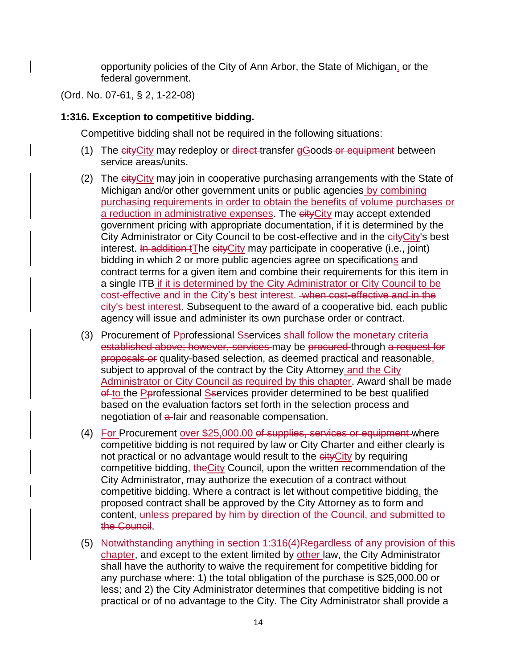opportunity policies of the City of Ann Arbor, the State of Michigan, or the federal government.

(Ord. No. 07-61, § 2, 1-22-08)

### **1:316. Exception to competitive bidding.**

Competitive bidding shall not be required in the following situations:

- (1) The cityCity may redeploy or direct-transfer gGoods or equipment between service areas/units.
- (2) The eity City may join in cooperative purchasing arrangements with the State of Michigan and/or other government units or public agencies by combining purchasing requirements in order to obtain the benefits of volume purchases or a reduction in administrative expenses. The cityCity may accept extended government pricing with appropriate documentation, if it is determined by the City Administrator or City Council to be cost-effective and in the eity City's best interest. In addition tThe cityCity may participate in cooperative (i.e., joint) bidding in which 2 or more public agencies agree on specifications and contract terms for a given item and combine their requirements for this item in a single ITB if it is determined by the City Administrator or City Council to be cost-effective and in the City's best interest. when cost-effective and in the city's best interest. Subsequent to the award of a cooperative bid, each public agency will issue and administer its own purchase order or contract.
- (3) Procurement of Pprofessional Sservices shall follow the monetary criteria established above; however, services may be procured through a request for proposals or quality-based selection, as deemed practical and reasonable, subject to approval of the contract by the City Attorney and the City Administrator or City Council as required by this chapter. Award shall be made of to the Perofessional Sservices provider determined to be best qualified based on the evaluation factors set forth in the selection process and negotiation of a-fair and reasonable compensation.
- (4) For Procurement over \$25,000.00 of supplies, services or equipment where competitive bidding is not required by law or City Charter and either clearly is not practical or no advantage would result to the eityCity by requiring competitive bidding, the City Council, upon the written recommendation of the City Administrator, may authorize the execution of a contract without competitive bidding. Where a contract is let without competitive bidding, the proposed contract shall be approved by the City Attorney as to form and content, unless prepared by him by direction of the Council, and submitted to the Council.
- (5) Notwithstanding anything in section 1:316(4)Regardless of any provision of this chapter, and except to the extent limited by other law, the City Administrator shall have the authority to waive the requirement for competitive bidding for any purchase where: 1) the total obligation of the purchase is \$25,000.00 or less; and 2) the City Administrator determines that competitive bidding is not practical or of no advantage to the City. The City Administrator shall provide a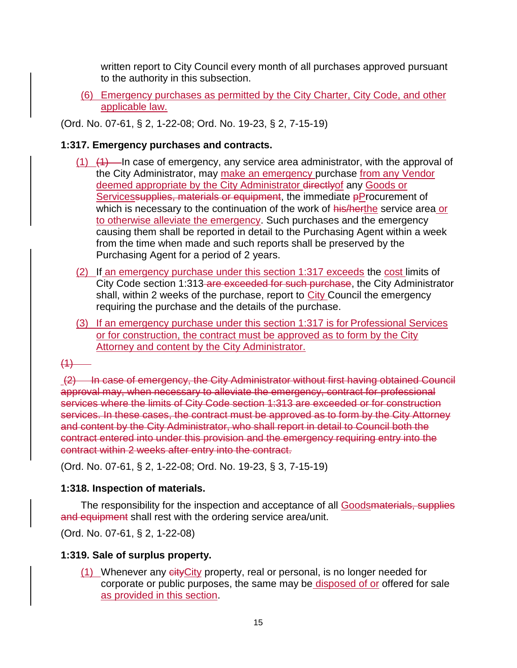written report to City Council every month of all purchases approved pursuant to the authority in this subsection.

(6) Emergency purchases as permitted by the City Charter, City Code, and other applicable law.

(Ord. No. 07-61, § 2, 1-22-08; Ord. No. 19-23, § 2, 7-15-19)

# **1:317. Emergency purchases and contracts.**

- $(1)$   $(1)$   $(1)$  In case of emergency, any service area administrator, with the approval of the City Administrator, may make an emergency purchase from any Vendor deemed appropriate by the City Administrator directlyof any Goods or Servicessupplies, materials or equipment, the immediate pProcurement of which is necessary to the continuation of the work of his/herthe service area or to otherwise alleviate the emergency. Such purchases and the emergency causing them shall be reported in detail to the Purchasing Agent within a week from the time when made and such reports shall be preserved by the Purchasing Agent for a period of 2 years.
- (2) If an emergency purchase under this section 1:317 exceeds the cost limits of City Code section 1:313 are exceeded for such purchase, the City Administrator shall, within 2 weeks of the purchase, report to City Council the emergency requiring the purchase and the details of the purchase.
- (3) If an emergency purchase under this section 1:317 is for Professional Services or for construction, the contract must be approved as to form by the City Attorney and content by the City Administrator.

### $(1)$

(2) In case of emergency, the City Administrator without first having obtained Council approval may, when necessary to alleviate the emergency, contract for professional services where the limits of City Code section 1:313 are exceeded or for construction services. In these cases, the contract must be approved as to form by the City Attorney and content by the City Administrator, who shall report in detail to Council both the contract entered into under this provision and the emergency requiring entry into the contract within 2 weeks after entry into the contract.

(Ord. No. 07-61, § 2, 1-22-08; Ord. No. 19-23, § 3, 7-15-19)

### **1:318. Inspection of materials.**

The responsibility for the inspection and acceptance of all **Goodsmaterials**, supplies and equipment shall rest with the ordering service area/unit.

(Ord. No. 07-61, § 2, 1-22-08)

# **1:319. Sale of surplus property.**

(1) Whenever any eity City property, real or personal, is no longer needed for corporate or public purposes, the same may be disposed of or offered for sale as provided in this section.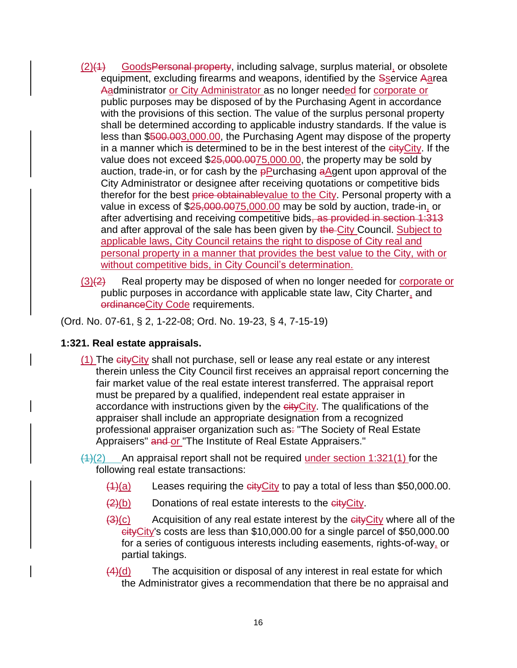- (2)(1) GoodsPersonal property, including salvage, surplus material, or obsolete equipment, excluding firearms and weapons, identified by the Sservice Aarea Aadministrator or City Administrator as no longer needed for corporate or public purposes may be disposed of by the Purchasing Agent in accordance with the provisions of this section. The value of the surplus personal property shall be determined according to applicable industry standards. If the value is less than \$500.003,000.00, the Purchasing Agent may dispose of the property in a manner which is determined to be in the best interest of the eityCity. If the value does not exceed \$25,000.0075,000.00, the property may be sold by auction, trade-in, or for cash by the **pPurchasing aAgent upon approval of the** City Administrator or designee after receiving quotations or competitive bids therefor for the best price obtainablevalue to the City. Personal property with a value in excess of \$25,000.0075,000.00 may be sold by auction, trade-in, or after advertising and receiving competitive bids, as provided in section 1:313 and after approval of the sale has been given by the City Council. Subject to applicable laws, City Council retains the right to dispose of City real and personal property in a manner that provides the best value to the City, with or without competitive bids, in City Council's determination.
- $(3)(2)$  Real property may be disposed of when no longer needed for corporate or public purposes in accordance with applicable state law, City Charter, and ordinanceCity Code requirements.

(Ord. No. 07-61, § 2, 1-22-08; Ord. No. 19-23, § 4, 7-15-19)

### **1:321. Real estate appraisals.**

(1) The cityCity shall not purchase, sell or lease any real estate or any interest therein unless the City Council first receives an appraisal report concerning the fair market value of the real estate interest transferred. The appraisal report must be prepared by a qualified, independent real estate appraiser in accordance with instructions given by the eityCity. The qualifications of the appraiser shall include an appropriate designation from a recognized professional appraiser organization such as: "The Society of Real Estate Appraisers" and or "The Institute of Real Estate Appraisers."

 $\frac{(1)(2)}{2}$  An appraisal report shall not be required under section 1:321(1) for the following real estate transactions:

- $(1)(a)$  Leases requiring the cityCity to pay a total of less than \$50,000.00.
- $(2)(b)$  Donations of real estate interests to the eityCity.
- $(3)(c)$  Acquisition of any real estate interest by the  $c$  eit  $\sqrt{c}$  where all of the cityCity's costs are less than \$10,000.00 for a single parcel of \$50,000.00 for a series of contiguous interests including easements, rights-of-way, or partial takings.
- $\frac{4}{d}$ (d) The acquisition or disposal of any interest in real estate for which the Administrator gives a recommendation that there be no appraisal and